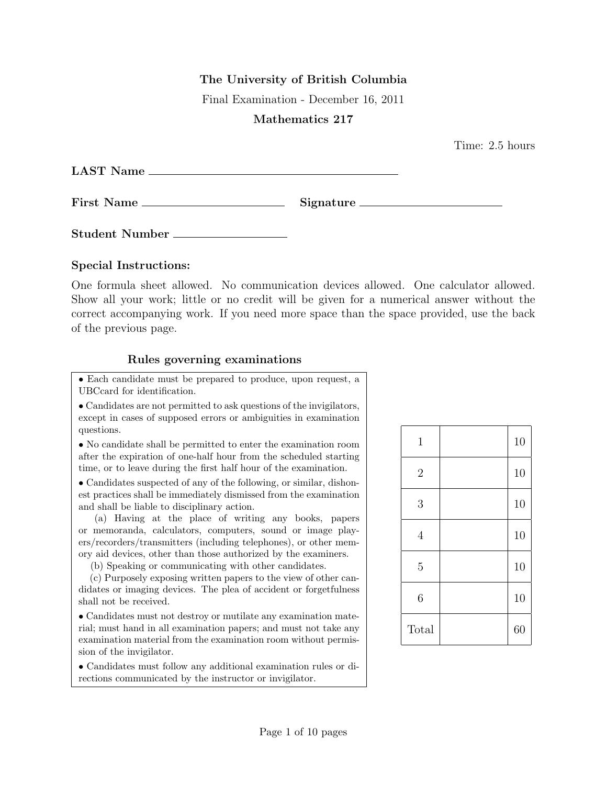## The University of British Columbia

Final Examination - December 16, 2011

## Mathematics 217

Time: 2.5 hours

| <b>LAST Name</b><br><u> 1989 - Andrea State Barbara, Amerikaansk politiker († 1908)</u> |           |
|-----------------------------------------------------------------------------------------|-----------|
|                                                                                         | Signature |
| Student Number                                                                          |           |

## Special Instructions:

One formula sheet allowed. No communication devices allowed. One calculator allowed. Show all your work; little or no credit will be given for a numerical answer without the correct accompanying work. If you need more space than the space provided, use the back of the previous page.

## Rules governing examinations

• Each candidate must be prepared to produce, upon request, a UBCcard for identification.

• Candidates are not permitted to ask questions of the invigilators, except in cases of supposed errors or ambiguities in examination questions.

• No candidate shall be permitted to enter the examination room after the expiration of one-half hour from the scheduled starting time, or to leave during the first half hour of the examination.

• Candidates suspected of any of the following, or similar, dishonest practices shall be immediately dismissed from the examination and shall be liable to disciplinary action.

(a) Having at the place of writing any books, papers or memoranda, calculators, computers, sound or image players/recorders/transmitters (including telephones), or other memory aid devices, other than those authorized by the examiners.

(b) Speaking or communicating with other candidates.

(c) Purposely exposing written papers to the view of other candidates or imaging devices. The plea of accident or forgetfulness shall not be received.

• Candidates must not destroy or mutilate any examination material; must hand in all examination papers; and must not take any examination material from the examination room without permission of the invigilator.

• Candidates must follow any additional examination rules or directions communicated by the instructor or invigilator.

| $\mathbf{1}$     | 10 |
|------------------|----|
| $\overline{2}$   | 10 |
| 3                | 10 |
| $\overline{4}$   | 10 |
| $\bf 5$          | 10 |
| $\boldsymbol{6}$ | 10 |
| Total            | 60 |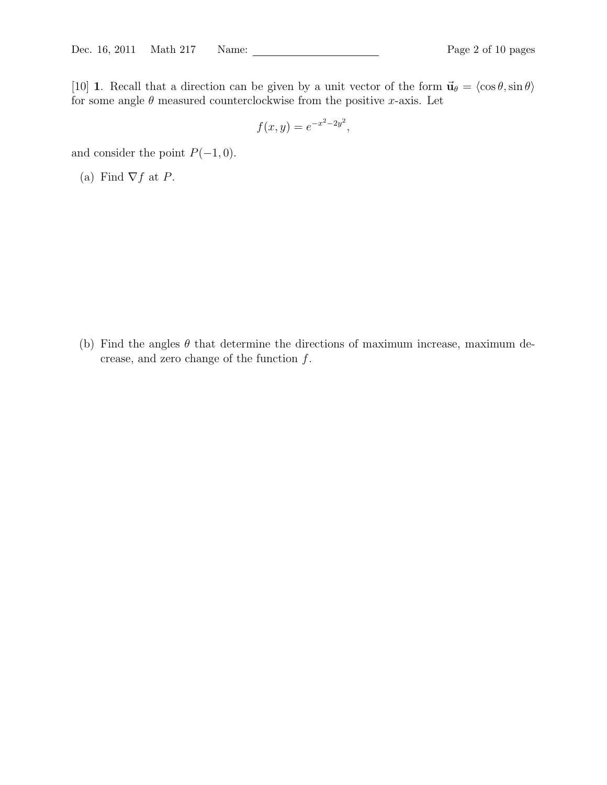[10] 1. Recall that a direction can be given by a unit vector of the form  $\vec{u}_{\theta} = \langle \cos \theta, \sin \theta \rangle$ for some angle  $\theta$  measured counterclockwise from the positive x-axis. Let

$$
f(x,y) = e^{-x^2 - 2y^2},
$$

and consider the point  $P(-1, 0)$ .

(a) Find  $\nabla f$  at P.

(b) Find the angles  $\theta$  that determine the directions of maximum increase, maximum decrease, and zero change of the function  $f$ .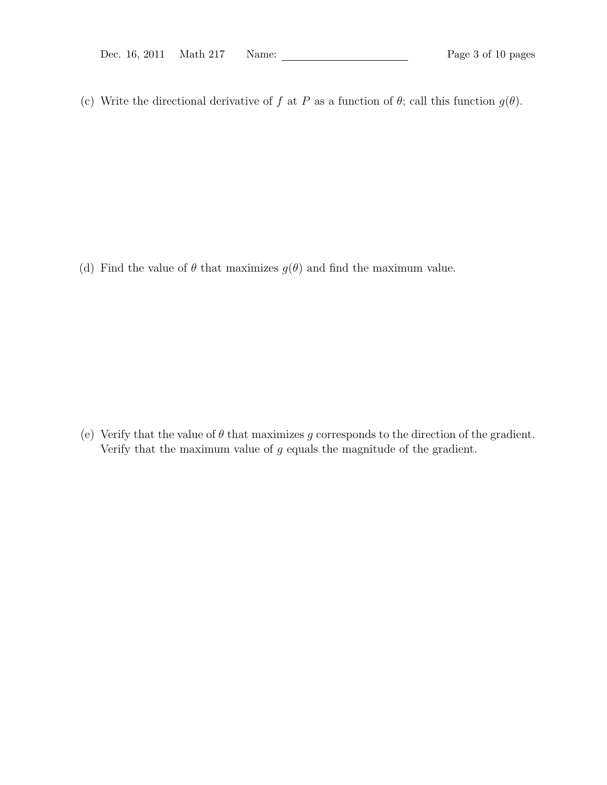(c) Write the directional derivative of f at P as a function of  $\theta$ ; call this function  $g(\theta)$ .

(d) Find the value of  $\theta$  that maximizes  $g(\theta)$  and find the maximum value.

(e) Verify that the value of  $\theta$  that maximizes g corresponds to the direction of the gradient. Verify that the maximum value of  $g$  equals the magnitude of the gradient.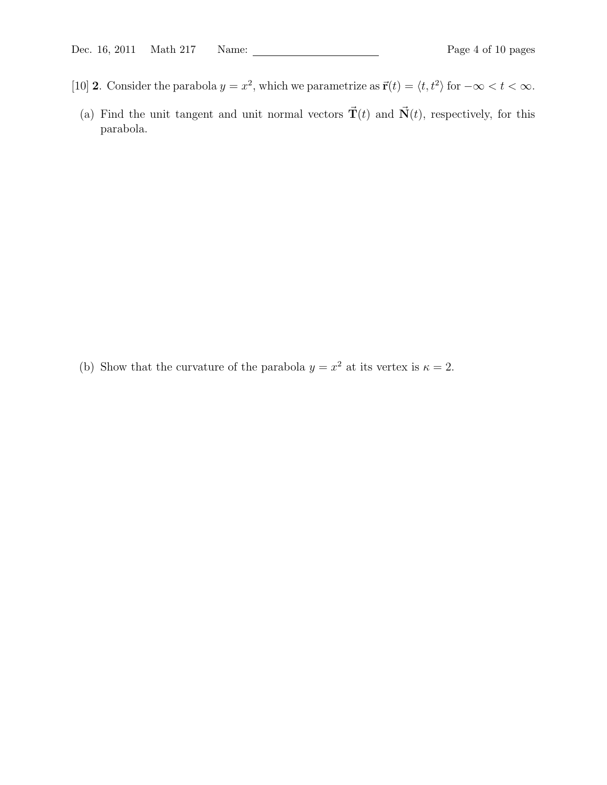- [10] **2**. Consider the parabola  $y = x^2$ , which we parametrize as  $\vec{r}(t) = \langle t, t^2 \rangle$  for  $-\infty < t < \infty$ .
- (a) Find the unit tangent and unit normal vectors  $\vec{\mathbf{T}}(t)$  and  $\vec{\mathbf{N}}(t)$ , respectively, for this parabola.

(b) Show that the curvature of the parabola  $y = x^2$  at its vertex is  $\kappa = 2$ .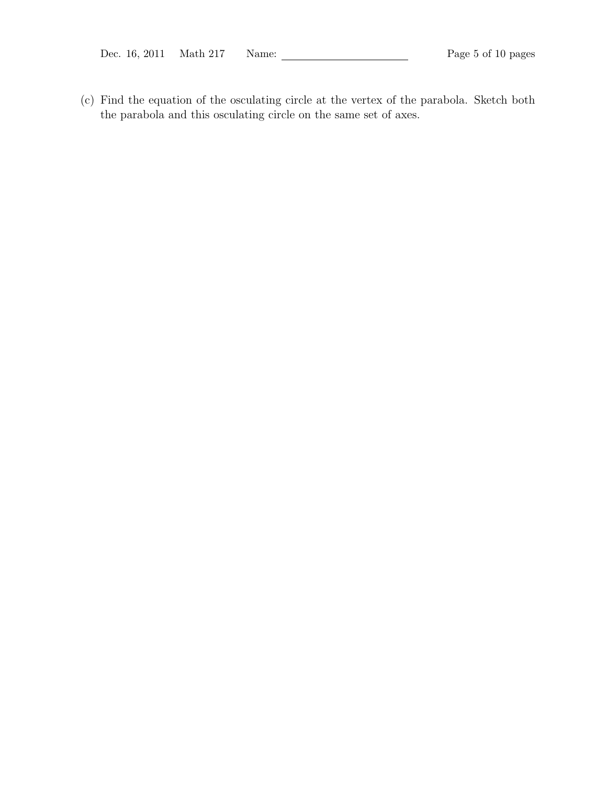(c) Find the equation of the osculating circle at the vertex of the parabola. Sketch both the parabola and this osculating circle on the same set of axes.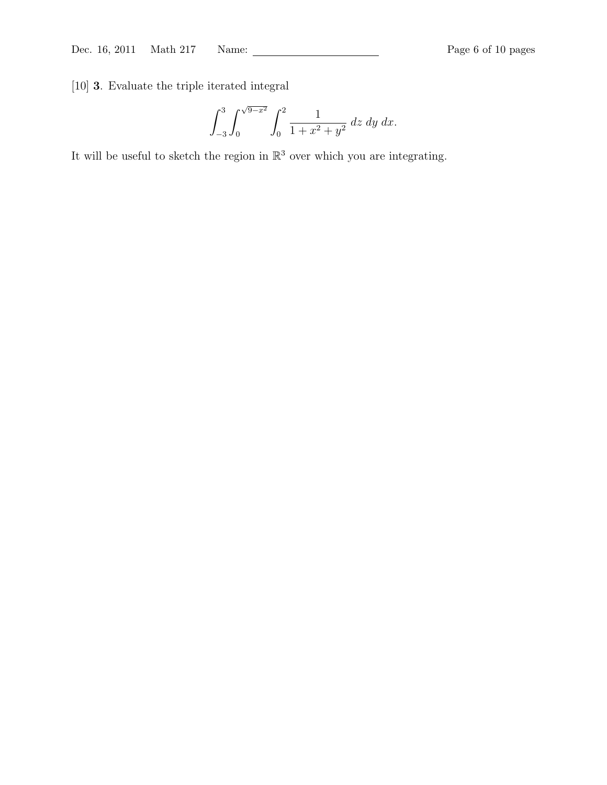[10] 3. Evaluate the triple iterated integral

$$
\int_{-3}^{3} \int_{0}^{\sqrt{9-x^2}} \int_{0}^{2} \frac{1}{1+x^2+y^2} \, dz \, dy \, dx.
$$

It will be useful to sketch the region in  $\mathbb{R}^3$  over which you are integrating.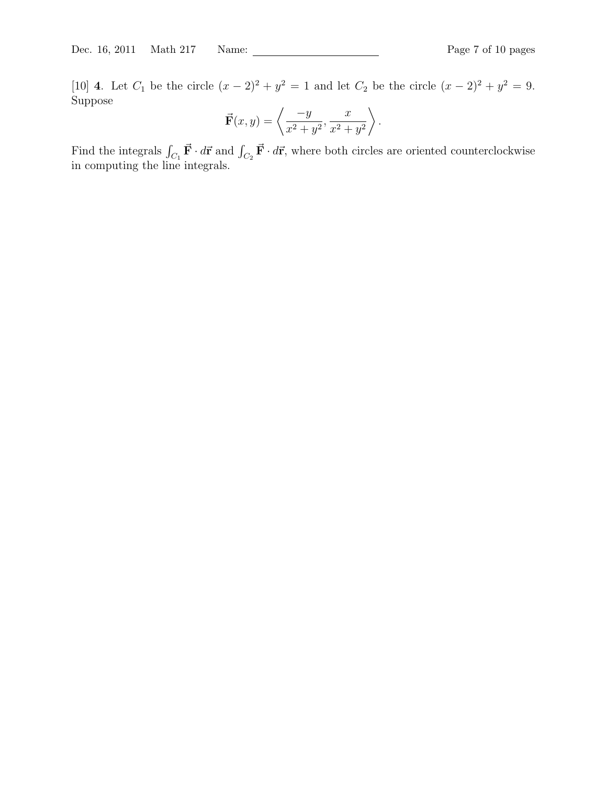[10] **4**. Let  $C_1$  be the circle  $(x - 2)^2 + y^2 = 1$  and let  $C_2$  be the circle  $(x - 2)^2 + y^2 = 9$ . Suppose

$$
\vec{\mathbf{F}}(x,y) = \left\langle \frac{-y}{x^2 + y^2}, \frac{x}{x^2 + y^2} \right\rangle.
$$

Find the integrals  $\int_{C_1} \vec{F} \cdot d\vec{r}$  and  $\int_{C_2} \vec{F} \cdot d\vec{r}$ , where both circles are oriented counterclockwise in computing the line integrals.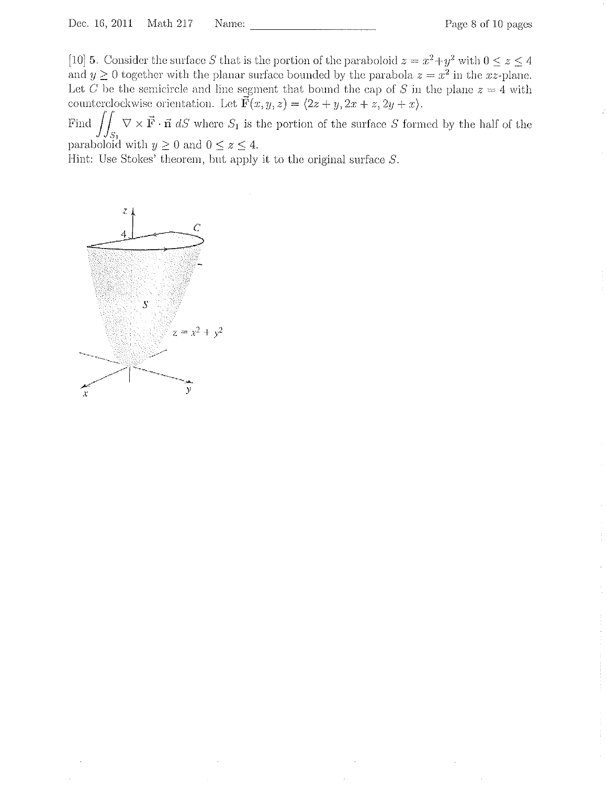[10] 5. Consider the surface S that is the portion of the paraboloid  $z = x^2 + y^2$  with  $0 \le z \le 4$ and  $y \ge 0$  together with the planar surface bounded by the parabola  $z = x^2$  in the xz-plane. Let C be the semicircle and line segment that bound the cap of S in the plane  $z = 4$  with counterclockwise orientation. Let  $\vec{F}(x, y, z) = \langle 2z + y, 2x + z, 2y + x \rangle$ .

Find  $\iint_{S_1} \nabla \times \vec{F} \cdot \vec{n} dS$  where  $S_1$  is the portion of the surface S formed by the half of the paraboloid with  $y \ge 0$  and  $0 \le z \le 4$ .

Hint: Use Stokes' theorem, but apply it to the original surface  $S$ .

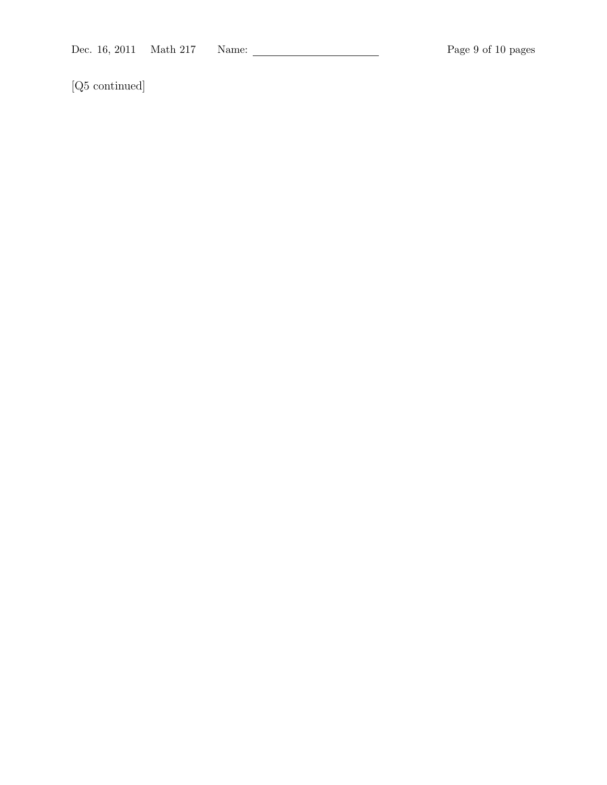[Q5 continued]